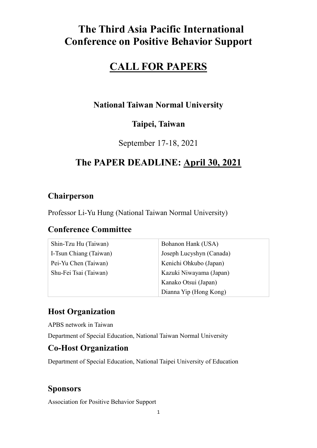# **The Third Asia Pacific International Conference on Positive Behavior Support**

# **CALL FOR PAPERS**

## **National Taiwan Normal University**

## **Taipei, Taiwan**

September 17-18, 2021

# **The PAPER DEADLINE: April 30, 2021**

## **Chairperson**

Professor Li-Yu Hung (National Taiwan Normal University)

## **Conference Committee**

| Shin-Tzu Hu (Taiwan)   | Bohanon Hank (USA)       |
|------------------------|--------------------------|
| I-Tsun Chiang (Taiwan) | Joseph Lucyshyn (Canada) |
| Pei-Yu Chen (Taiwan)   | Kenichi Ohkubo (Japan)   |
| Shu-Fei Tsai (Taiwan)  | Kazuki Niwayama (Japan)  |
|                        | Kanako Otsui (Japan)     |
|                        | Dianna Yip (Hong Kong)   |

## **Host Organization**

APBS network in Taiwan

Department of Special Education, National Taiwan Normal University

## **Co-Host Organization**

Department of Special Education, National Taipei University of Education

### **Sponsors**

Association for Positive Behavior Support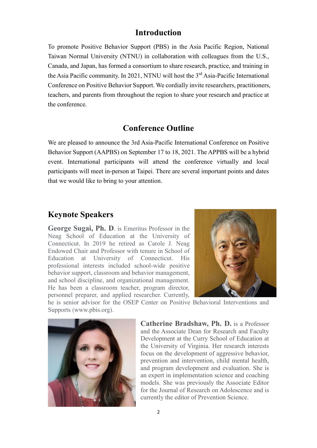### **Introduction**

To promote Positive Behavior Support (PBS) in the Asia Pacific Region, National Taiwan Normal University (NTNU) in collaboration with colleagues from the U.S., Canada, and Japan, has formed a consortium to share research, practice, and training in the Asia Pacific community. In 2021, NTNU will host the 3<sup>rd</sup> Asia-Pacific International Conference on Positive Behavior Support. We cordially invite researchers, practitioners, teachers, and parents from throughout the region to share your research and practice at the conference.

### **Conference Outline**

We are pleased to announce the 3rd Asia-Pacific International Conference on Positive Behavior Support (AAPBS) on September 17 to 18, 2021. The APPBS will be a hybrid event. International participants will attend the conference virtually and local participants will meet in-person at Taipei. There are several important points and dates that we would like to bring to your attention.

### **Keynote Speakers**

**George Sugai, Ph. D**. is Emeritus Professor in the Neag School of Education at the University of Connecticut. In 2019 he retired as Carole J. Neag Endowed Chair and Professor with tenure in School of Education at University of Connecticut. His professional interests included school-wide positive behavior support, classroom and behavior management, and school discipline, and organizational management. He has been a classroom teacher, program director, personnel preparer, and applied researcher. Currently,



he is senior advisor for the OSEP Center on Positive Behavioral Interventions and Supports (www.pbis.org).



**Catherine Bradshaw, Ph. D.** is a Professor and the Associate Dean for Research and Faculty Development at the Curry School of Education at the University of Virginia. Her research interests focus on the development of aggressive behavior, prevention and intervention, child mental health, and program development and evaluation. She is an expert in implementation science and coaching models. She was previously the Associate Editor for the Journal of Research on Adolescence and is currently the editor of Prevention Science.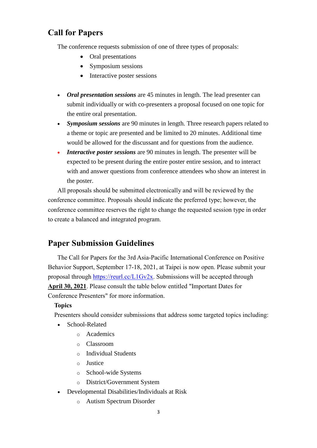### **Call for Papers**

The conference requests submission of one of three types of proposals:

- Oral presentations
- Symposium sessions
- Interactive poster sessions
- *Oral presentation sessions* are 45 minutes in length. The lead presenter can submit individually or with co-presenters a proposal focused on one topic for the entire oral presentation.
- *Symposium sessions* are 90 minutes in length. Three research papers related to a theme or topic are presented and be limited to 20 minutes. Additional time would be allowed for the discussant and for questions from the audience.
- *Interactive poster sessions* are 90 minutes in length. The presenter will be expected to be present during the entire poster entire session, and to interact with and answer questions from conference attendees who show an interest in the poster.

All proposals should be submitted electronically and will be reviewed by the conference committee. Proposals should indicate the preferred type; however, the conference committee reserves the right to change the requested session type in order to create a balanced and integrated program.

### **Paper Submission Guidelines**

The Call for Papers for the 3rd Asia-Pacific International Conference on Positive Behavior Support, September 17-18, 2021, at Taipei is now open. Please submit your proposal through [https://reurl.cc/L1Gv2x.](https://reurl.cc/L1Gv2x) Submissions will be accepted through **April 30, 2021**. Please consult the table below entitled "Important Dates for Conference Presenters" for more information.

#### **Topics**

Presenters should consider submissions that address some targeted topics including:

- School-Related
	- o Academics
	- o Classroom
	- o Individual Students
	- o Justice
	- o School-wide Systems
	- o District/Government System
- Developmental Disabilities/Individuals at Risk
	- o Autism Spectrum Disorder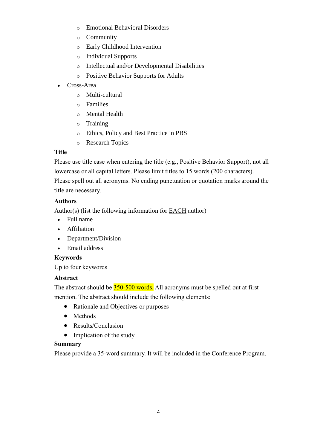- o Emotional Behavioral Disorders
- o Community
- o Early Childhood Intervention
- o Individual Supports
- o Intellectual and/or Developmental Disabilities
- o Positive Behavior Supports for Adults
- Cross-Area
	- o Multi-cultural
	- o Families
	- o Mental Health
	- o Training
	- o Ethics, Policy and Best Practice in PBS
	- o Research Topics

#### **Title**

Please use title case when entering the title (e.g., Positive Behavior Support), not all lowercase or all capital letters. Please limit titles to 15 words (200 characters).

Please spell out all acronyms. No ending punctuation or quotation marks around the title are necessary.

### **Authors**

Author(s) (list the following information for  $EACH$  author)</u>

- Full name
- Affiliation
- Department/Division
- Email address

#### **Keywords**

Up to four keywords

### **Abstract**

The abstract should be  $350-500$  words. All acronyms must be spelled out at first mention. The abstract should include the following elements:

- Rationale and Objectives or purposes
- Methods
- Results/Conclusion
- Implication of the study

#### **Summary**

Please provide a 35-word summary. It will be included in the Conference Program.